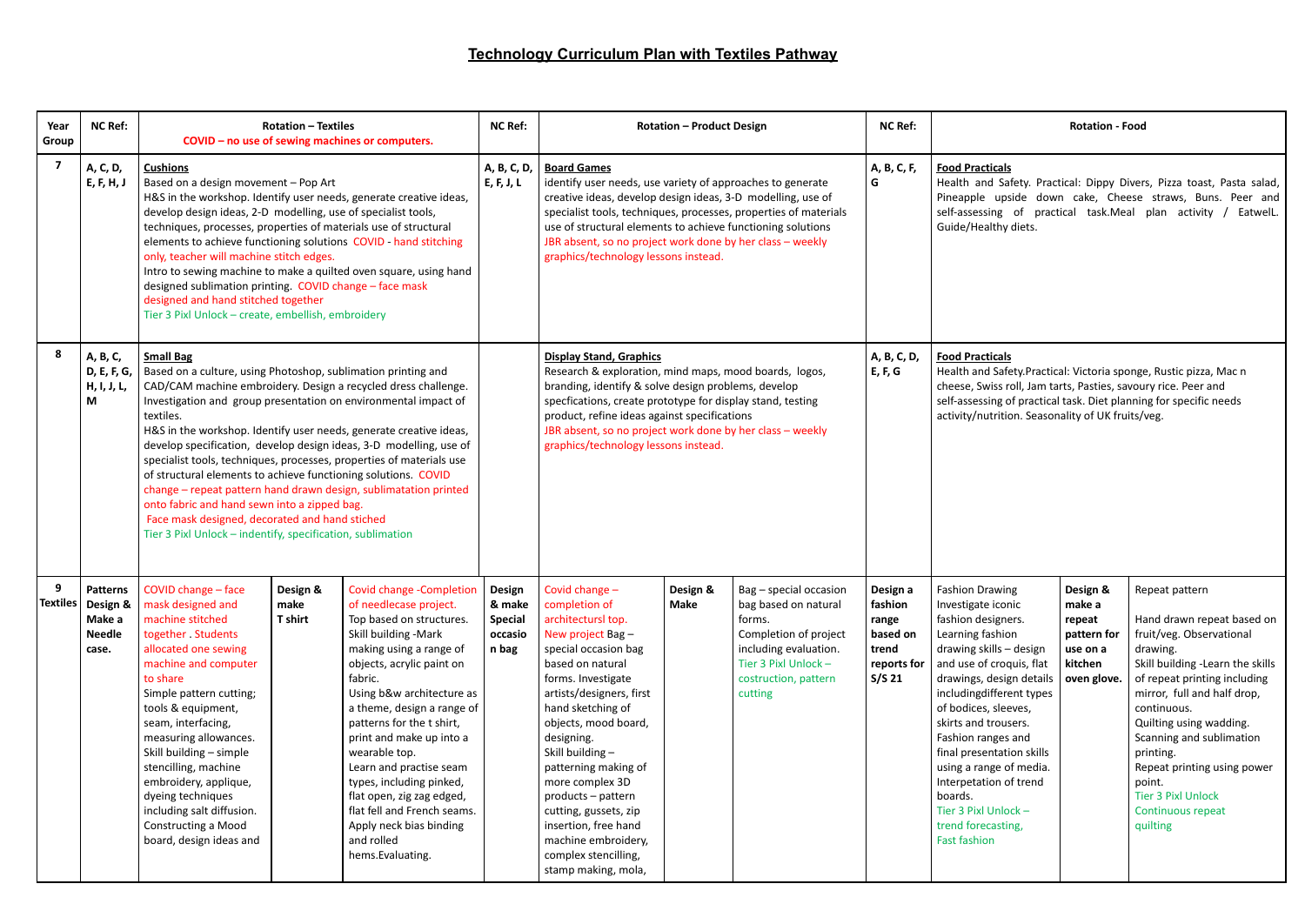| Year<br>Group           | <b>NC Ref:</b>                                                             |                                                                                                                                                                                                                                                                                                                                                                                                                                                                                                                                                                                                                                                                                                                                                               | <b>Rotation - Textiles</b>  | COVID - no use of sewing machines or computers.                                                                                                                                                                                                                                                                                                                                                                                                                                                  | <b>NC Ref:</b>                                                                                                                                                                                                                                                                                                                                                     |                                                                                                                                                                                                                                                                                                                                                                                                                                                  | <b>Rotation - Product Design</b> |                                                                                                                                                                       | <b>NC Ref:</b>                                                                                                                                                                                                                                                                            | <b>Rotation - Food</b>                                                                                                                                                                                                                                                                                                                                                                                                                        |                                                                                   |                                                                                                                                                                                                                                                                                                                                                                                          |
|-------------------------|----------------------------------------------------------------------------|---------------------------------------------------------------------------------------------------------------------------------------------------------------------------------------------------------------------------------------------------------------------------------------------------------------------------------------------------------------------------------------------------------------------------------------------------------------------------------------------------------------------------------------------------------------------------------------------------------------------------------------------------------------------------------------------------------------------------------------------------------------|-----------------------------|--------------------------------------------------------------------------------------------------------------------------------------------------------------------------------------------------------------------------------------------------------------------------------------------------------------------------------------------------------------------------------------------------------------------------------------------------------------------------------------------------|--------------------------------------------------------------------------------------------------------------------------------------------------------------------------------------------------------------------------------------------------------------------------------------------------------------------------------------------------------------------|--------------------------------------------------------------------------------------------------------------------------------------------------------------------------------------------------------------------------------------------------------------------------------------------------------------------------------------------------------------------------------------------------------------------------------------------------|----------------------------------|-----------------------------------------------------------------------------------------------------------------------------------------------------------------------|-------------------------------------------------------------------------------------------------------------------------------------------------------------------------------------------------------------------------------------------------------------------------------------------|-----------------------------------------------------------------------------------------------------------------------------------------------------------------------------------------------------------------------------------------------------------------------------------------------------------------------------------------------------------------------------------------------------------------------------------------------|-----------------------------------------------------------------------------------|------------------------------------------------------------------------------------------------------------------------------------------------------------------------------------------------------------------------------------------------------------------------------------------------------------------------------------------------------------------------------------------|
| $\overline{\mathbf{z}}$ | A, C, D,<br>E, F, H, J                                                     | <b>Cushions</b><br>Based on a design movement - Pop Art<br>H&S in the workshop. Identify user needs, generate creative ideas,<br>develop design ideas, 2-D modelling, use of specialist tools,<br>techniques, processes, properties of materials use of structural<br>elements to achieve functioning solutions COVID - hand stitching<br>only, teacher will machine stitch edges.<br>Intro to sewing machine to make a quilted oven square, using hand<br>designed sublimation printing. COVID change - face mask<br>designed and hand stitched together<br>Tier 3 Pixl Unlock - create, embellish, embroidery                                                                                                                                               |                             |                                                                                                                                                                                                                                                                                                                                                                                                                                                                                                  | A, B, C, D,<br>E, F, J, L                                                                                                                                                                                                                                                                                                                                          | <b>Board Games</b><br>identify user needs, use variety of approaches to generate<br>creative ideas, develop design ideas, 3-D modelling, use of<br>specialist tools, techniques, processes, properties of materials<br>use of structural elements to achieve functioning solutions<br>JBR absent, so no project work done by her class - weekly<br>graphics/technology lessons instead.                                                          |                                  |                                                                                                                                                                       | A, B, C, F,<br>G                                                                                                                                                                                                                                                                          | <b>Food Practicals</b><br>Health and Safety. Practical: Dippy Divers, Pizza toast, Pasta salad,<br>Pineapple upside down cake, Cheese straws, Buns. Peer and<br>self-assessing of practical task.Meal plan activity / Eatwell.<br>Guide/Healthy diets.                                                                                                                                                                                        |                                                                                   |                                                                                                                                                                                                                                                                                                                                                                                          |
| 8                       | A, B, C,<br>D, E, F, G,<br>H, I, J, L,<br>M                                | <b>Small Bag</b><br>Based on a culture, using Photoshop, sublimation printing and<br>CAD/CAM machine embroidery. Design a recycled dress challenge.<br>Investigation and group presentation on environmental impact of<br>textiles.<br>H&S in the workshop. Identify user needs, generate creative ideas,<br>develop specification, develop design ideas, 3-D modelling, use of<br>specialist tools, techniques, processes, properties of materials use<br>of structural elements to achieve functioning solutions. COVID<br>change - repeat pattern hand drawn design, sublimatation printed<br>onto fabric and hand sewn into a zipped bag.<br>Face mask designed, decorated and hand stiched<br>Tier 3 Pixl Unlock - indentify, specification, sublimation |                             |                                                                                                                                                                                                                                                                                                                                                                                                                                                                                                  | <b>Display Stand, Graphics</b><br>Research & exploration, mind maps, mood boards, logos,<br>branding, identify & solve design problems, develop<br>specfications, create prototype for display stand, testing<br>product, refine ideas against specifications<br>JBR absent, so no project work done by her class - weekly<br>graphics/technology lessons instead. |                                                                                                                                                                                                                                                                                                                                                                                                                                                  |                                  | A, B, C, D,<br>E, F, G                                                                                                                                                | <b>Food Practicals</b><br>Health and Safety. Practical: Victoria sponge, Rustic pizza, Mac n<br>cheese, Swiss roll, Jam tarts, Pasties, savoury rice. Peer and<br>self-assessing of practical task. Diet planning for specific needs<br>activity/nutrition. Seasonality of UK fruits/veg. |                                                                                                                                                                                                                                                                                                                                                                                                                                               |                                                                                   |                                                                                                                                                                                                                                                                                                                                                                                          |
| 9                       | <b>Patterns</b><br>Textiles   Design &<br>Make a<br><b>Needle</b><br>case. | COVID change - face<br>mask designed and<br>machine stitched<br>together Students<br>allocated one sewing<br>machine and computer<br>to share<br>Simple pattern cutting;<br>tools & equipment,<br>seam, interfacing,<br>measuring allowances.<br>Skill building - simple<br>stencilling, machine<br>embroidery, applique,<br>dyeing techniques<br>including salt diffusion.<br><b>Constructing a Mood</b><br>board, design ideas and                                                                                                                                                                                                                                                                                                                          | Design &<br>make<br>T shirt | Covid change - Completion<br>of needlecase project.<br>Top based on structures.<br>Skill building -Mark<br>making using a range of<br>objects, acrylic paint on<br>fabric.<br>Using b&w architecture as<br>a theme, design a range of<br>patterns for the t shirt,<br>print and make up into a<br>wearable top.<br>Learn and practise seam<br>types, including pinked,<br>flat open, zig zag edged,<br>flat fell and French seams.<br>Apply neck bias binding<br>and rolled<br>hems. Evaluating. | Design<br>& make<br><b>Special</b><br>occasio<br>n bag                                                                                                                                                                                                                                                                                                             | Covid change $-$<br>completion of<br>architectursl top.<br>New project Bag-<br>special occasion bag<br>based on natural<br>forms. Investigate<br>artists/designers, first<br>hand sketching of<br>objects, mood board,<br>designing.<br>Skill building -<br>patterning making of<br>more complex 3D<br>products - pattern<br>cutting, gussets, zip<br>insertion, free hand<br>machine embroidery,<br>complex stencilling,<br>stamp making, mola, | Design &<br>Make                 | Bag - special occasion<br>bag based on natural<br>forms.<br>Completion of project<br>including evaluation.<br>Tier 3 Pixl Unlock -<br>costruction, pattern<br>cutting | Design a<br>fashion<br>range<br>based on<br>trend<br>reports for<br>S/S <sub>21</sub>                                                                                                                                                                                                     | <b>Fashion Drawing</b><br>Investigate iconic<br>fashion designers.<br>Learning fashion<br>drawing skills - design<br>and use of croquis, flat<br>drawings, design details<br>includingdifferent types<br>of bodices, sleeves,<br>skirts and trousers.<br>Fashion ranges and<br>final presentation skills<br>using a range of media.<br>Interpetation of trend<br>boards.<br>Tier 3 Pixl Unlock -<br>trend forecasting,<br><b>Fast fashion</b> | Design &<br>make a<br>repeat<br>pattern for<br>use on a<br>kitchen<br>oven glove. | Repeat pattern<br>Hand drawn repeat based on<br>fruit/veg. Observational<br>drawing.<br>Skill building -Learn the skills<br>of repeat printing including<br>mirror, full and half drop,<br>continuous.<br>Quilting using wadding.<br>Scanning and sublimation<br>printing.<br>Repeat printing using power<br>point.<br><b>Tier 3 Pixl Unlock</b><br><b>Continuous repeat</b><br>quilting |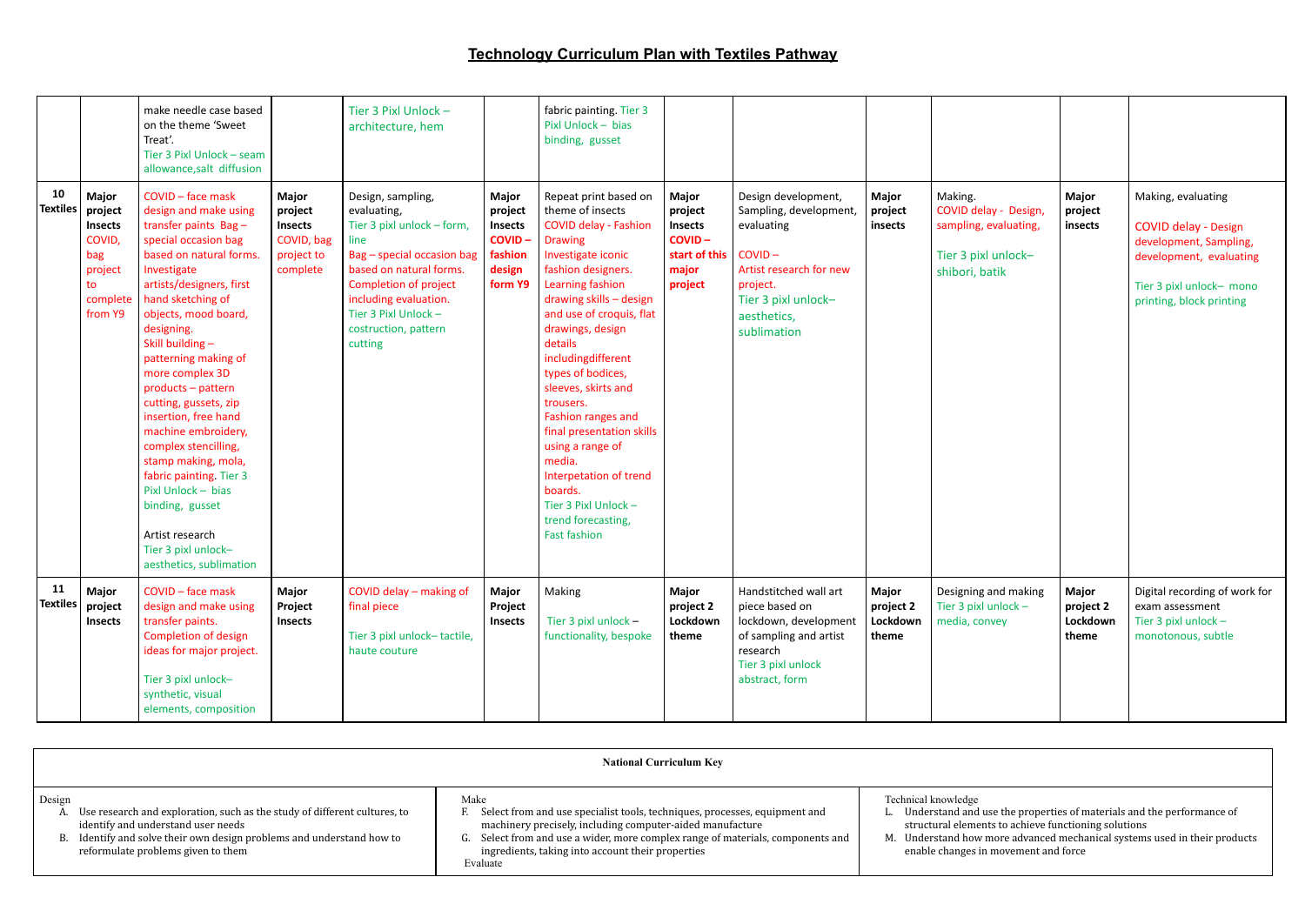|                |                                                                                                    | make needle case based<br>on the theme 'Sweet<br>Treat'.<br>Tier 3 Pixl Unlock - seam<br>allowance, salt diffusion                                                                                                                                                                                                                                                                                                                                                                                                                                                               |                                                                            | Tier 3 Pixl Unlock -<br>architecture, hem                                                                                                                                                                                                    |                                                                                     | fabric painting. Tier 3<br>Pixl Unlock - bias<br>binding, gusset                                                                                                                                                                                                                                                                                                                                                                                                                                                            |                                                                                          |                                                                                                                                                                      |                                         |                                                                                                    |                                                |                                                                                                                                                                |
|----------------|----------------------------------------------------------------------------------------------------|----------------------------------------------------------------------------------------------------------------------------------------------------------------------------------------------------------------------------------------------------------------------------------------------------------------------------------------------------------------------------------------------------------------------------------------------------------------------------------------------------------------------------------------------------------------------------------|----------------------------------------------------------------------------|----------------------------------------------------------------------------------------------------------------------------------------------------------------------------------------------------------------------------------------------|-------------------------------------------------------------------------------------|-----------------------------------------------------------------------------------------------------------------------------------------------------------------------------------------------------------------------------------------------------------------------------------------------------------------------------------------------------------------------------------------------------------------------------------------------------------------------------------------------------------------------------|------------------------------------------------------------------------------------------|----------------------------------------------------------------------------------------------------------------------------------------------------------------------|-----------------------------------------|----------------------------------------------------------------------------------------------------|------------------------------------------------|----------------------------------------------------------------------------------------------------------------------------------------------------------------|
| 10<br>Textiles | <b>Major</b><br>project<br><b>Insects</b><br>COVID,<br>bag<br>project<br>to<br>complete<br>from Y9 | COVID - face mask<br>design and make using<br>transfer paints Bag-<br>special occasion bag<br>based on natural forms.<br>Investigate<br>artists/designers, first<br>hand sketching of<br>objects, mood board,<br>designing.<br>Skill building -<br>patterning making of<br>more complex 3D<br>products - pattern<br>cutting, gussets, zip<br>insertion, free hand<br>machine embroidery,<br>complex stencilling,<br>stamp making, mola,<br>fabric painting. Tier 3<br>Pixl Unlock - bias<br>binding, gusset<br>Artist research<br>Tier 3 pixl unlock-<br>aesthetics, sublimation | <b>Major</b><br>project<br>Insects<br>COVID, bag<br>project to<br>complete | Design, sampling,<br>evaluating,<br>Tier 3 pixl unlock - form,<br>line<br>Bag - special occasion bag<br>based on natural forms.<br>Completion of project<br>including evaluation.<br>Tier 3 Pixl Unlock -<br>costruction, pattern<br>cutting | <b>Major</b><br>project<br>Insects<br><b>COVID-</b><br>fashion<br>design<br>form Y9 | Repeat print based on<br>theme of insects<br><b>COVID delay - Fashion</b><br><b>Drawing</b><br>Investigate iconic<br>fashion designers.<br>Learning fashion<br>drawing skills - design<br>and use of croquis, flat<br>drawings, design<br>details<br>includingdifferent<br>types of bodices,<br>sleeves, skirts and<br>trousers.<br>Fashion ranges and<br>final presentation skills<br>using a range of<br>media.<br>Interpetation of trend<br>boards.<br>Tier 3 Pixl Unlock -<br>trend forecasting,<br><b>Fast fashion</b> | <b>Major</b><br>project<br>Insects<br><b>COVID-</b><br>start of this<br>major<br>project | Design development,<br>Sampling, development,<br>evaluating<br>$COVID -$<br>Artist research for new<br>project.<br>Tier 3 pixl unlock-<br>aesthetics,<br>sublimation | <b>Major</b><br>project<br>insects      | Making.<br>COVID delay - Design,<br>sampling, evaluating,<br>Tier 3 pixl unlock-<br>shibori, batik | Major<br>project<br>insects                    | Making, evaluating<br><b>COVID delay - Design</b><br>development, Sampling,<br>development, evaluating<br>Tier 3 pixl unlock- mono<br>printing, block printing |
| 11             | Major<br>Textiles   project<br><b>Insects</b>                                                      | COVID - face mask<br>design and make using<br>transfer paints.<br>Completion of design<br>ideas for major project.<br>Tier 3 pixl unlock-<br>synthetic, visual<br>elements, composition                                                                                                                                                                                                                                                                                                                                                                                          | <b>Major</b><br>Project<br>Insects                                         | COVID delay - making of<br>final piece<br>Tier 3 pixl unlock-tactile,<br>haute couture                                                                                                                                                       | Major<br>Project<br>Insects                                                         | Making<br>Tier 3 pixl unlock -<br>functionality, bespoke                                                                                                                                                                                                                                                                                                                                                                                                                                                                    | <b>Major</b><br>project 2<br>Lockdown<br>theme                                           | Handstitched wall art<br>piece based on<br>lockdown, development<br>of sampling and artist<br>research<br>Tier 3 pixl unlock<br>abstract, form                       | Major<br>project 2<br>Lockdown<br>theme | Designing and making<br>Tier 3 pixl unlock -<br>media, convey                                      | <b>Major</b><br>project 2<br>Lockdown<br>theme | Digital recording of work for<br>exam assessment<br>Tier 3 pixl unlock -<br>monotonous, subtle                                                                 |

L. Understand and use the properties of materials and the performance of structural elements to achieve functioning solutions more advanced mechanical systems used in their products n movement and force

|                                                                                                                                                                                                                                                | <b>National Curriculum Key</b>                                                                                                                                                                                                                                                                      |                                                                                                        |
|------------------------------------------------------------------------------------------------------------------------------------------------------------------------------------------------------------------------------------------------|-----------------------------------------------------------------------------------------------------------------------------------------------------------------------------------------------------------------------------------------------------------------------------------------------------|--------------------------------------------------------------------------------------------------------|
| Design<br>Use research and exploration, such as the study of different cultures, to<br>А.<br>identify and understand user needs<br>B. Identify and solve their own design problems and understand how to<br>reformulate problems given to them | Make<br>Select from and use specialist tools, techniques, processes, equipment and<br>machinery precisely, including computer-aided manufacture<br>G. Select from and use a wider, more complex range of materials, components and<br>ingredients, taking into account their properties<br>Evaluate | Technical knowledge<br>Understand and u<br>structural elemen<br>M. Understand how<br>enable changes in |